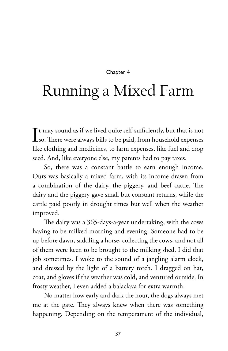## Chapter 4

## Running a Mixed Farm

 $\int$  t may sound as if we lived quite self-sufficiently, but that is not<br>so. There were always bills to be paid, from household expenses so. There were always bills to be paid, from household expenses like clothing and medicines, to farm expenses, like fuel and crop seed. And, like everyone else, my parents had to pay taxes.

So, there was a constant battle to earn enough income. Ours was basically a mixed farm, with its income drawn from a combination of the dairy, the piggery, and beef cattle. The dairy and the piggery gave small but constant returns, while the cattle paid poorly in drought times but well when the weather improved.

The dairy was a 365-days-a-year undertaking, with the cows having to be milked morning and evening. Someone had to be up before dawn, saddling a horse, collecting the cows, and not all of them were keen to be brought to the milking shed. I did that job sometimes. I woke to the sound of a jangling alarm clock, and dressed by the light of a battery torch. I dragged on hat, coat, and gloves if the weather was cold, and ventured outside. In frosty weather, I even added a balaclava for extra warmth.

No matter how early and dark the hour, the dogs always met me at the gate. They always knew when there was something happening. Depending on the temperament of the individual,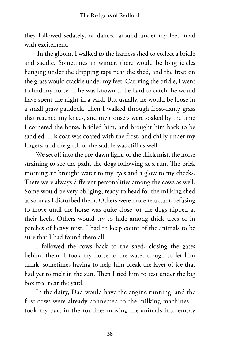they followed sedately, or danced around under my feet, mad with excitement.

 In the gloom, I walked to the harness shed to collect a bridle and saddle. Sometimes in winter, there would be long icicles hanging under the dripping taps near the shed, and the frost on the grass would crackle under my feet. Carrying the bridle, I went to find my horse. If he was known to be hard to catch, he would have spent the night in a yard. But usually, he would be loose in a small grass paddock. Then I walked through frost-damp grass that reached my knees, and my trousers were soaked by the time I cornered the horse, bridled him, and brought him back to be saddled. His coat was coated with the frost, and chilly under my fingers, and the girth of the saddle was stiff as well.

We set off into the pre-dawn light, or the thick mist, the horse straining to see the path, the dogs following at a run. The brisk morning air brought water to my eyes and a glow to my cheeks. There were always different personalities among the cows as well. Some would be very obliging, ready to head for the milking shed as soon as I disturbed them. Others were more reluctant, refusing to move until the horse was quite close, or the dogs nipped at their heels. Others would try to hide among thick trees or in patches of heavy mist. I had to keep count of the animals to be sure that I had found them all.

I followed the cows back to the shed, closing the gates behind them. I took my horse to the water trough to let him drink, sometimes having to help him break the layer of ice that had yet to melt in the sun. Then I tied him to rest under the big box tree near the yard.

In the dairy, Dad would have the engine running, and the first cows were already connected to the milking machines. I took my part in the routine: moving the animals into empty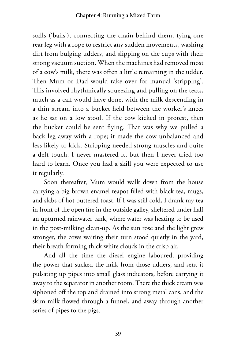stalls ('bails'), connecting the chain behind them, tying one rear leg with a rope to restrict any sudden movements, washing dirt from bulging udders, and slipping on the cups with their strong vacuum suction. When the machines had removed most of a cow's milk, there was often a little remaining in the udder. Then Mum or Dad would take over for manual 'stripping'. This involved rhythmically squeezing and pulling on the teats, much as a calf would have done, with the milk descending in a thin stream into a bucket held between the worker's knees as he sat on a low stool. If the cow kicked in protest, then the bucket could be sent flying. That was why we pulled a back leg away with a rope; it made the cow unbalanced and less likely to kick. Stripping needed strong muscles and quite a deft touch. I never mastered it, but then I never tried too hard to learn. Once you had a skill you were expected to use it regularly.

Soon thereafter, Mum would walk down from the house carrying a big brown enamel teapot filled with black tea, mugs, and slabs of hot buttered toast. If I was still cold, I drank my tea in front of the open fire in the outside galley, sheltered under half an upturned rainwater tank, where water was heating to be used in the post-milking clean-up. As the sun rose and the light grew stronger, the cows waiting their turn stood quietly in the yard, their breath forming thick white clouds in the crisp air.

And all the time the diesel engine laboured, providing the power that sucked the milk from those udders, and sent it pulsating up pipes into small glass indicators, before carrying it away to the separator in another room. There the thick cream was siphoned off the top and drained into strong metal cans, and the skim milk flowed through a funnel, and away through another series of pipes to the pigs.

**39**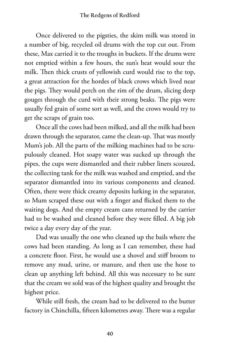## **The Redgens of Redford**

Once delivered to the pigsties, the skim milk was stored in a number of big, recycled oil drums with the top cut out. From these, Max carried it to the troughs in buckets. If the drums were not emptied within a few hours, the sun's heat would sour the milk. Then thick crusts of yellowish curd would rise to the top, a great attraction for the hordes of black crows which lived near the pigs. They would perch on the rim of the drum, slicing deep gouges through the curd with their strong beaks. The pigs were usually fed grain of some sort as well, and the crows would try to get the scraps of grain too.

Once all the cows had been milked, and all the milk had been drawn through the separator, came the clean-up. That was mostly Mum's job. All the parts of the milking machines had to be scrupulously cleaned. Hot soapy water was sucked up through the pipes, the cups were dismantled and their rubber liners scoured, the collecting tank for the milk was washed and emptied, and the separator dismantled into its various components and cleaned. Often, there were thick creamy deposits lurking in the separator, so Mum scraped these out with a finger and flicked them to the waiting dogs. And the empty cream cans returned by the carrier had to be washed and cleaned before they were filled. A big job twice a day every day of the year.

Dad was usually the one who cleaned up the bails where the cows had been standing. As long as I can remember, these had a concrete floor. First, he would use a shovel and stiff broom to remove any mud, urine, or manure, and then use the hose to clean up anything left behind. All this was necessary to be sure that the cream we sold was of the highest quality and brought the highest price.

While still fresh, the cream had to be delivered to the butter factory in Chinchilla, fifteen kilometres away. There was a regular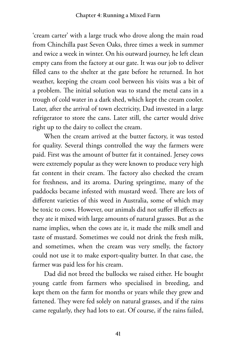'cream carter' with a large truck who drove along the main road from Chinchilla past Seven Oaks, three times a week in summer and twice a week in winter. On his outward journey, he left clean empty cans from the factory at our gate. It was our job to deliver filled cans to the shelter at the gate before he returned. In hot weather, keeping the cream cool between his visits was a bit of a problem. The initial solution was to stand the metal cans in a trough of cold water in a dark shed, which kept the cream cooler. Later, after the arrival of town electricity, Dad invested in a large refrigerator to store the cans. Later still, the carter would drive right up to the dairy to collect the cream.

When the cream arrived at the butter factory, it was tested for quality. Several things controlled the way the farmers were paid. First was the amount of butter fat it contained. Jersey cows were extremely popular as they were known to produce very high fat content in their cream. The factory also checked the cream for freshness, and its aroma. During springtime, many of the paddocks became infested with mustard weed. There are lots of different varieties of this weed in Australia, some of which may be toxic to cows. However, our animals did not suffer ill effects as they ate it mixed with large amounts of natural grasses. But as the name implies, when the cows ate it, it made the milk smell and taste of mustard. Sometimes we could not drink the fresh milk, and sometimes, when the cream was very smelly, the factory could not use it to make export-quality butter. In that case, the farmer was paid less for his cream.

Dad did not breed the bullocks we raised either. He bought young cattle from farmers who specialised in breeding, and kept them on the farm for months or years while they grew and fattened. They were fed solely on natural grasses, and if the rains came regularly, they had lots to eat. Of course, if the rains failed,

**41**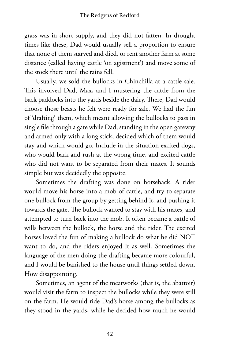grass was in short supply, and they did not fatten. In drought times like these, Dad would usually sell a proportion to ensure that none of them starved and died, or rent another farm at some distance (called having cattle 'on agistment') and move some of the stock there until the rains fell.

Usually, we sold the bullocks in Chinchilla at a cattle sale. This involved Dad, Max, and I mustering the cattle from the back paddocks into the yards beside the dairy. There, Dad would choose those beasts he felt were ready for sale. We had the fun of 'drafting' them, which meant allowing the bullocks to pass in single file through a gate while Dad, standing in the open gateway and armed only with a long stick, decided which of them would stay and which would go. Include in the situation excited dogs, who would bark and rush at the wrong time, and excited cattle who did not want to be separated from their mates. It sounds simple but was decidedly the opposite.

Sometimes the drafting was done on horseback. A rider would move his horse into a mob of cattle, and try to separate one bullock from the group by getting behind it, and pushing it towards the gate. The bullock wanted to stay with his mates, and attempted to turn back into the mob. It often became a battle of wills between the bullock, the horse and the rider. The excited horses loved the fun of making a bullock do what he did NOT want to do, and the riders enjoyed it as well. Sometimes the language of the men doing the drafting became more colourful, and I would be banished to the house until things settled down. How disappointing.

Sometimes, an agent of the meatworks (that is, the abattoir) would visit the farm to inspect the bullocks while they were still on the farm. He would ride Dad's horse among the bullocks as they stood in the yards, while he decided how much he would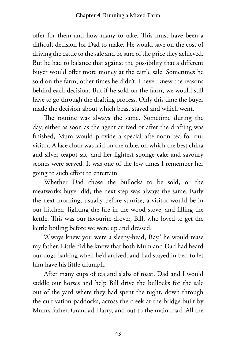offer for them and how many to take. This must have been a difficult decision for Dad to make. He would save on the cost of driving the cattle to the sale and be sure of the price they achieved. But he had to balance that against the possibility that a different buyer would offer more money at the cattle sale. Sometimes he sold on the farm, other times he didn't. I never knew the reasons behind each decision. But if he sold on the farm, we would still have to go through the drafting process. Only this time the buyer made the decision about which beast stayed and which went.

The routine was always the same. Sometime during the day, either as soon as the agent arrived or after the drafting was finished, Mum would provide a special afternoon tea for our visitor. A lace cloth was laid on the table, on which the best china and silver teapot sat, and her lightest sponge cake and savoury scones were served. It was one of the few times I remember her going to such effort to entertain.

Whether Dad chose the bullocks to be sold, or the meatworks buyer did, the next step was always the same. Early the next morning, usually before sunrise, a visitor would be in our kitchen, lighting the fire in the wood stove, and filling the kettle. This was our favourite drover, Bill, who loved to get the kettle boiling before we were up and dressed.

'Always knew you were a sleepy-head, Ray,' he would tease my father. Little did he know that both Mum and Dad had heard our dogs barking when he'd arrived, and had stayed in bed to let him have his little triumph.

After many cups of tea and slabs of toast, Dad and I would saddle our horses and help Bill drive the bullocks for the sale out of the yard where they had spent the night, down through the cultivation paddocks, across the creek at the bridge built by Mum's father, Grandad Harry, and out to the main road. All the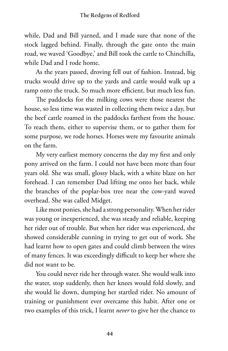while, Dad and Bill yarned, and I made sure that none of the stock lagged behind. Finally, through the gate onto the main road, we waved 'Goodbye,' and Bill took the cattle to Chinchilla, while Dad and I rode home.

As the years passed, droving fell out of fashion. Instead, big trucks would drive up to the yards and cattle would walk up a ramp onto the truck. So much more efficient, but much less fun.

The paddocks for the milking cows were those nearest the house, so less time was wasted in collecting them twice a day, but the beef cattle roamed in the paddocks farthest from the house. To reach them, either to supervise them, or to gather them for some purpose, we rode horses. Horses were my favourite animals on the farm.

My very earliest memory concerns the day my first and only pony arrived on the farm. I could not have been more than four years old. She was small, glossy black, with a white blaze on her forehead. I can remember Dad lifting me onto her back, while the branches of the poplar-box tree near the cow-yard waved overhead. She was called Midget.

Like most ponies, she had a strong personality. When her rider was young or inexperienced, she was steady and reliable, keeping her rider out of trouble. But when her rider was experienced, she showed considerable cunning in trying to get out of work. She had learnt how to open gates and could climb between the wires of many fences. It was exceedingly difficult to keep her where she did not want to be.

You could never ride her through water. She would walk into the water, stop suddenly, then her knees would fold slowly, and she would lie down, dumping her startled rider. No amount of training or punishment ever overcame this habit. After one or two examples of this trick, I learnt *never* to give her the chance to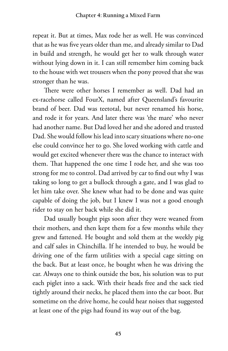repeat it. But at times, Max rode her as well. He was convinced that as he was five years older than me, and already similar to Dad in build and strength, he would get her to walk through water without lying down in it. I can still remember him coming back to the house with wet trousers when the pony proved that she was stronger than he was.

There were other horses I remember as well. Dad had an ex-racehorse called FourX, named after Queensland's favourite brand of beer. Dad was teetotal, but never renamed his horse, and rode it for years. And later there was 'the mare' who never had another name. But Dad loved her and she adored and trusted Dad. She would follow his lead into scary situations where no-one else could convince her to go. She loved working with cattle and would get excited whenever there was the chance to interact with them. That happened the one time I rode her, and she was too strong for me to control. Dad arrived by car to find out why I was taking so long to get a bullock through a gate, and I was glad to let him take over. She knew what had to be done and was quite capable of doing the job, but I knew I was not a good enough rider to stay on her back while she did it.

Dad usually bought pigs soon after they were weaned from their mothers, and then kept them for a few months while they grew and fattened. He bought and sold them at the weekly pig and calf sales in Chinchilla. If he intended to buy, he would be driving one of the farm utilities with a special cage sitting on the back. But at least once, he bought when he was driving the car. Always one to think outside the box, his solution was to put each piglet into a sack. With their heads free and the sack tied tightly around their necks, he placed them into the car boot. But sometime on the drive home, he could hear noises that suggested at least one of the pigs had found its way out of the bag.